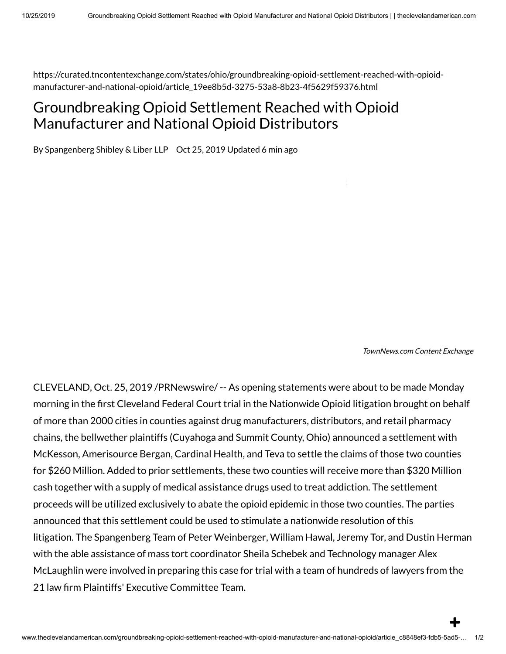https://curated.tncontentexchange.com/states/ohio/groundbreaking-opioid-settlement-reached-with-opioidmanufacturer-and-national-opioid/article\_19ee8b5d-3275-53a8-8b23-4f5629f59376.html

## Groundbreaking Opioid Settlement Reached with Opioid Manufacturer and National Opioid Distributors

By Spangenberg Shibley & Liber LLP Oct 25, 2019 Updated 6 min ago

TownNews.com Content Exchange

CLEVELAND, Oct. 25, 2019 /PRNewswire/ -- As opening statements were about to be made Monday morning in the first Cleveland Federal Court trial in the Nationwide Opioid litigation brought on behalf of more than 2000 cities in counties against drug manufacturers, distributors, and retail pharmacy chains, the bellwether plaintiffs (Cuyahoga and Summit County, Ohio) announced a settlement with McKesson, Amerisource Bergan, Cardinal Health, and Teva to settle the claims of those two counties for \$260 Million. Added to prior settlements, these two counties will receive more than \$320 Million cash together with a supply of medical assistance drugs used to treat addiction. The settlement proceeds will be utilized exclusively to abate the opioid epidemic in those two counties. The parties announced that this settlement could be used to stimulate a nationwide resolution of this litigation. The Spangenberg Team of Peter Weinberger, William Hawal, Jeremy Tor, and Dustin Herman with the able assistance of mass tort coordinator Sheila Schebek and Technology manager Alex McLaughlin were involved in preparing this case for trial with a team of hundreds of lawyers from the 21 law firm Plaintiffs' Executive Committee Team.